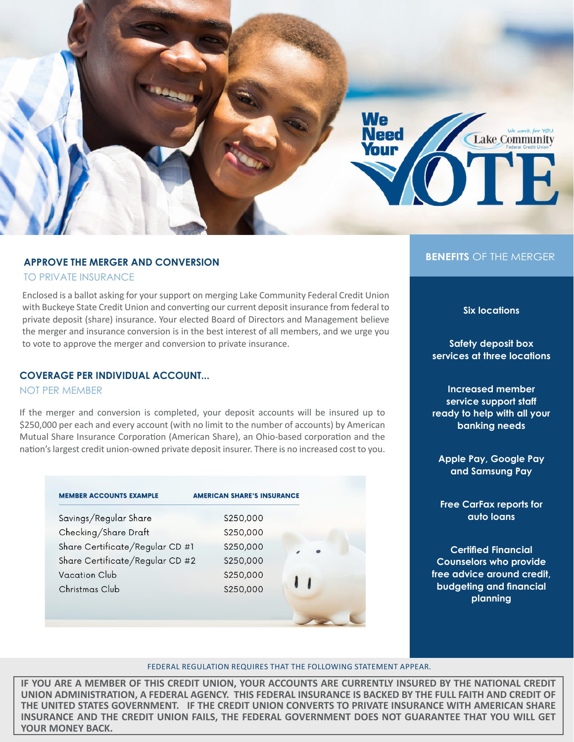

### **APPROVE THE MERGER AND CONVERSION**

TO PRIVATE INSURANCE

Enclosed is a ballot asking for your support on merging Lake Community Federal Credit Union with Buckeye State Credit Union and converting our current deposit insurance from federal to private deposit (share) insurance. Your elected Board of Directors and Management believe the merger and insurance conversion is in the best interest of all members, and we urge you to vote to approve the merger and conversion to private insurance.

### **COVERAGE PER INDIVIDUAL ACCOUNT...**

NOT PER MEMBER

If the merger and conversion is completed, your deposit accounts will be insured up to \$250,000 per each and every account (with no limit to the number of accounts) by American Mutual Share Insurance Corporation (American Share), an Ohio-based corporation and the nation's largest credit union-owned private deposit insurer. There is no increased cost to you.

| <b>AMERICAN SHARE'S INSURANCE</b> |                                                                    |
|-----------------------------------|--------------------------------------------------------------------|
| \$250,000                         |                                                                    |
| \$250,000                         |                                                                    |
| S250,000                          |                                                                    |
| \$250,000                         |                                                                    |
| S250,000                          |                                                                    |
| \$250,000                         |                                                                    |
|                                   |                                                                    |
|                                   |                                                                    |
|                                   | Share Certificate/Regular CD #1<br>Share Certificate/Regular CD #2 |

### **BENEFITS** OF THE MERGER

**Six locations**

**Safety deposit box services at three locations**

**Increased member service support staff ready to help with all your banking needs**

**Apple Pay, Google Pay and Samsung Pay**

**Free CarFax reports for auto loans**

**Certified Financial Counselors who provide free advice around credit, budgeting and financial planning**

#### FEDERAL REGULATION REQUIRES THAT THE FOLLOWING STATEMENT APPEAR.

**IF YOU ARE A MEMBER OF THIS CREDIT UNION, YOUR ACCOUNTS ARE CURRENTLY INSURED BY THE NATIONAL CREDIT UNION ADMINISTRATION, A FEDERAL AGENCY. THIS FEDERAL INSURANCE IS BACKED BY THE FULL FAITH AND CREDIT OF THE UNITED STATES GOVERNMENT. IF THE CREDIT UNION CONVERTS TO PRIVATE INSURANCE WITH AMERICAN SHARE INSURANCE AND THE CREDIT UNION FAILS, THE FEDERAL GOVERNMENT DOES NOT GUARANTEE THAT YOU WILL GET YOUR MONEY BACK.**